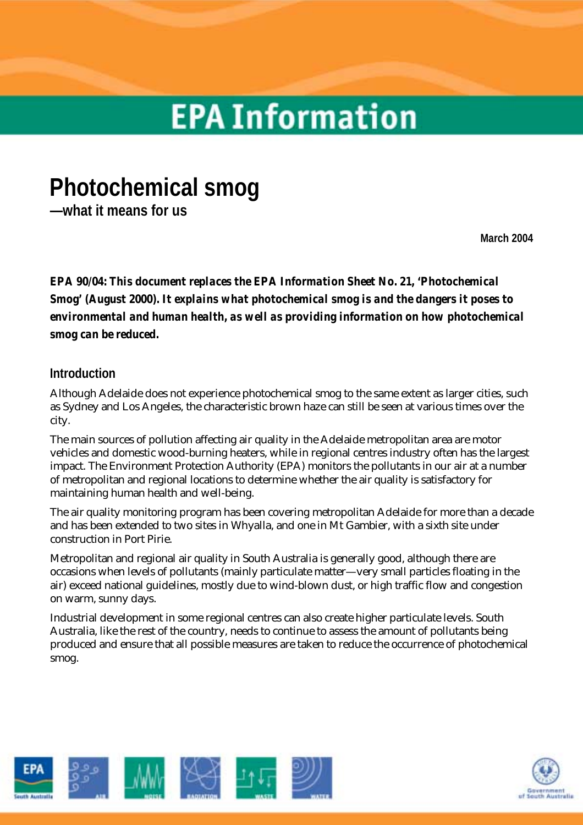# **EPA Information**

# **Photochemical smog**

**—what it means for us** 

**March 2004** 

*EPA 90/04: This document replaces the EPA Information Sheet No. 21, 'Photochemical Smog' (August 2000). It explains what photochemical smog is and the dangers it poses to environmental and human health, as well as providing information on how photochemical smog can be reduced.* 

# **Introduction**

Although Adelaide does not experience photochemical smog to the same extent as larger cities, such as Sydney and Los Angeles, the characteristic brown haze can still be seen at various times over the city.

The main sources of pollution affecting air quality in the Adelaide metropolitan area are motor vehicles and domestic wood-burning heaters, while in regional centres industry often has the largest impact. The Environment Protection Authority (EPA) monitors the pollutants in our air at a number of metropolitan and regional locations to determine whether the air quality is satisfactory for maintaining human health and well-being.

The air quality monitoring program has been covering metropolitan Adelaide for more than a decade and has been extended to two sites in Whyalla, and one in Mt Gambier, with a sixth site under construction in Port Pirie.

Metropolitan and regional air quality in South Australia is generally good, although there are occasions when levels of pollutants (mainly particulate matter—very small particles floating in the air) exceed national guidelines, mostly due to wind-blown dust, or high traffic flow and congestion on warm, sunny days.

Industrial development in some regional centres can also create higher particulate levels. South Australia, like the rest of the country, needs to continue to assess the amount of pollutants being produced and ensure that all possible measures are taken to reduce the occurrence of photochemical smog.



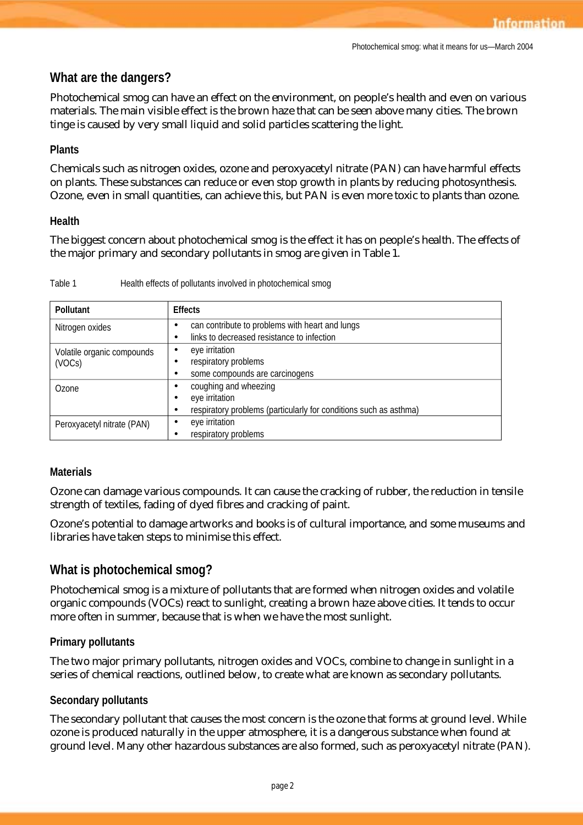# **What are the dangers?**

Photochemical smog can have an effect on the environment, on people's health and even on various materials. The main visible effect is the brown haze that can be seen above many cities. The brown tinge is caused by very small liquid and solid particles scattering the light.

### **Plants**

Chemicals such as nitrogen oxides, ozone and peroxyacetyl nitrate (PAN) can have harmful effects on plants. These substances can reduce or even stop growth in plants by reducing photosynthesis. Ozone, even in small quantities, can achieve this, but PAN is even more toxic to plants than ozone.

#### **Health**

The biggest concern about photochemical smog is the effect it has on people's health. The effects of the major primary and secondary pollutants in smog are given in Table 1.

| Health effects of pollutants involved in photochemical smog |
|-------------------------------------------------------------|
|                                                             |

| Pollutant                  | <b>Effects</b>                                                    |
|----------------------------|-------------------------------------------------------------------|
| Nitrogen oxides            | can contribute to problems with heart and lungs                   |
|                            | links to decreased resistance to infection                        |
| Volatile organic compounds | eye irritation                                                    |
| (VOCs)                     | respiratory problems                                              |
|                            | some compounds are carcinogens                                    |
| Ozone                      | coughing and wheezing                                             |
|                            | eye irritation                                                    |
|                            | respiratory problems (particularly for conditions such as asthma) |
| Peroxyacetyl nitrate (PAN) | eye irritation                                                    |
|                            | respiratory problems                                              |

#### **Materials**

Ozone can damage various compounds. It can cause the cracking of rubber, the reduction in tensile strength of textiles, fading of dyed fibres and cracking of paint.

Ozone's potential to damage artworks and books is of cultural importance, and some museums and libraries have taken steps to minimise this effect.

# **What is photochemical smog?**

Photochemical smog is a mixture of pollutants that are formed when nitrogen oxides and volatile organic compounds (VOCs) react to sunlight, creating a brown haze above cities. It tends to occur more often in summer, because that is when we have the most sunlight.

# **Primary pollutants**

The two major primary pollutants, nitrogen oxides and VOCs, combine to change in sunlight in a series of chemical reactions, outlined below, to create what are known as secondary pollutants.

#### **Secondary pollutants**

The secondary pollutant that causes the most concern is the ozone that forms at ground level. While ozone is produced naturally in the upper atmosphere, it is a dangerous substance when found at ground level. Many other hazardous substances are also formed, such as peroxyacetyl nitrate (PAN).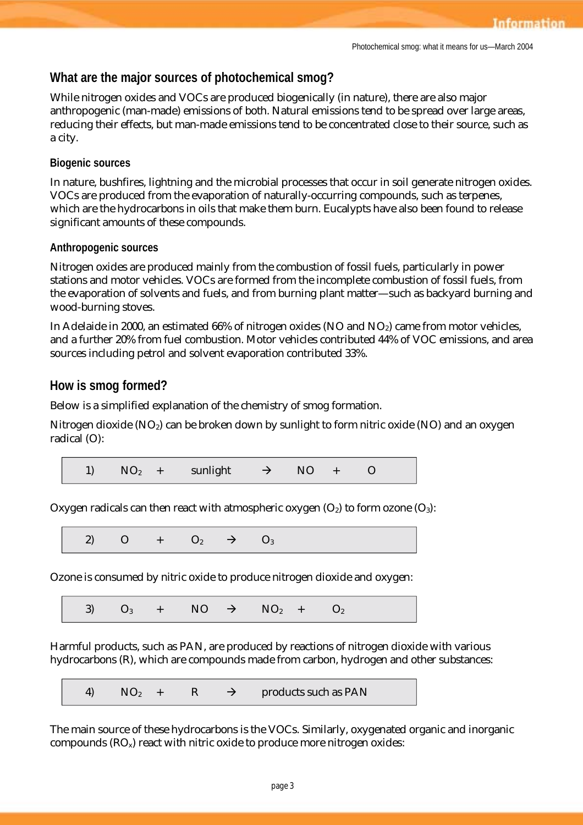# **What are the major sources of photochemical smog?**

While nitrogen oxides and VOCs are produced biogenically (in nature), there are also major anthropogenic (man-made) emissions of both. Natural emissions tend to be spread over large areas, reducing their effects, but man-made emissions tend to be concentrated close to their source, such as a city.

#### **Biogenic sources**

In nature, bushfires, lightning and the microbial processes that occur in soil generate nitrogen oxides. VOCs are produced from the evaporation of naturally-occurring compounds, such as terpenes, which are the hydrocarbons in oils that make them burn. Eucalypts have also been found to release significant amounts of these compounds.

#### **Anthropogenic sources**

Nitrogen oxides are produced mainly from the combustion of fossil fuels, particularly in power stations and motor vehicles. VOCs are formed from the incomplete combustion of fossil fuels, from the evaporation of solvents and fuels, and from burning plant matter—such as backyard burning and wood-burning stoves.

In Adelaide in 2000, an estimated 66% of nitrogen oxides (NO and NO<sub>2</sub>) came from motor vehicles, and a further 20% from fuel combustion. Motor vehicles contributed 44% of VOC emissions, and area sources including petrol and solvent evaporation contributed 33%.

# **How is smog formed?**

Below is a simplified explanation of the chemistry of smog formation.

Nitrogen dioxide (NO<sub>2</sub>) can be broken down by sunlight to form nitric oxide (NO) and an oxygen radical (O):



Oxygen radicals can then react with atmospheric oxygen  $(O_2)$  to form ozone  $(O_3)$ :

2) O +  $O_2$   $\rightarrow$   $O_3$ 

Ozone is consumed by nitric oxide to produce nitrogen dioxide and oxygen:

3)  $O_3$  + NO  $\rightarrow$  NO<sub>2</sub> + O<sub>2</sub>

Harmful products, such as PAN, are produced by reactions of nitrogen dioxide with various hydrocarbons (R), which are compounds made from carbon, hydrogen and other substances:

4) 
$$
NO_2 + R
$$
  $\rightarrow$  products such as PAN

The main source of these hydrocarbons is the VOCs. Similarly, oxygenated organic and inorganic compounds  $(RO_x)$  react with nitric oxide to produce more nitrogen oxides: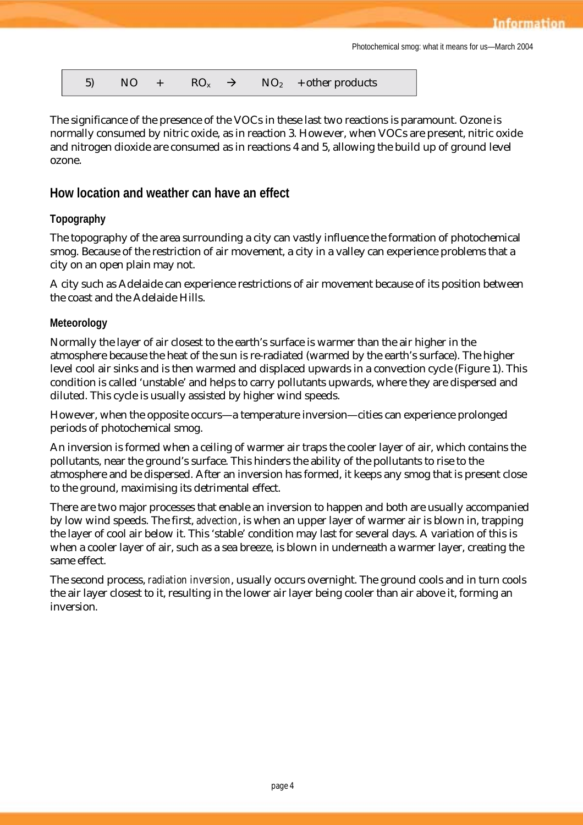5) NO +  $\text{RO}_x \rightarrow \text{NO}_2$  + other products

The significance of the presence of the VOCs in these last two reactions is paramount. Ozone is normally consumed by nitric oxide, as in reaction 3. However, when VOCs are present, nitric oxide and nitrogen dioxide are consumed as in reactions 4 and 5, allowing the build up of ground level ozone.

# **How location and weather can have an effect**

# **Topography**

The topography of the area surrounding a city can vastly influence the formation of photochemical smog. Because of the restriction of air movement, a city in a valley can experience problems that a city on an open plain may not.

A city such as Adelaide can experience restrictions of air movement because of its position between the coast and the Adelaide Hills.

#### **Meteorology**

Normally the layer of air closest to the earth's surface is warmer than the air higher in the atmosphere because the heat of the sun is re-radiated (warmed by the earth's surface). The higher level cool air sinks and is then warmed and displaced upwards in a convection cycle (Figure 1). This condition is called 'unstable' and helps to carry pollutants upwards, where they are dispersed and diluted. This cycle is usually assisted by higher wind speeds.

However, when the opposite occurs—a temperature inversion—cities can experience prolonged periods of photochemical smog.

An inversion is formed when a ceiling of warmer air traps the cooler layer of air, which contains the pollutants, near the ground's surface. This hinders the ability of the pollutants to rise to the atmosphere and be dispersed. After an inversion has formed, it keeps any smog that is present close to the ground, maximising its detrimental effect.

There are two major processes that enable an inversion to happen and both are usually accompanied by low wind speeds. The first, *advection*, is when an upper layer of warmer air is blown in, trapping the layer of cool air below it. This 'stable' condition may last for several days. A variation of this is when a cooler layer of air, such as a sea breeze, is blown in underneath a warmer layer, creating the same effect.

The second process, *radiation inversion*, usually occurs overnight. The ground cools and in turn cools the air layer closest to it, resulting in the lower air layer being cooler than air above it, forming an inversion.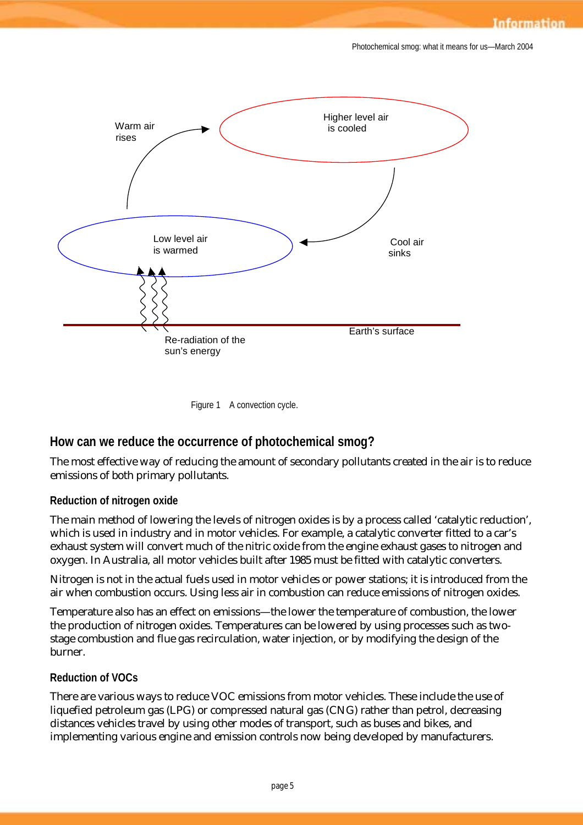



# **How can we reduce the occurrence of photochemical smog?**

The most effective way of reducing the amount of secondary pollutants created in the air is to reduce emissions of both primary pollutants.

#### **Reduction of nitrogen oxide**

The main method of lowering the levels of nitrogen oxides is by a process called 'catalytic reduction', which is used in industry and in motor vehicles. For example, a catalytic converter fitted to a car's exhaust system will convert much of the nitric oxide from the engine exhaust gases to nitrogen and oxygen. In Australia, all motor vehicles built after 1985 must be fitted with catalytic converters.

Nitrogen is not in the actual fuels used in motor vehicles or power stations; it is introduced from the air when combustion occurs. Using less air in combustion can reduce emissions of nitrogen oxides.

Temperature also has an effect on emissions—the lower the temperature of combustion, the lower the production of nitrogen oxides. Temperatures can be lowered by using processes such as twostage combustion and flue gas recirculation, water injection, or by modifying the design of the burner.

# **Reduction of VOCs**

There are various ways to reduce VOC emissions from motor vehicles. These include the use of liquefied petroleum gas (LPG) or compressed natural gas (CNG) rather than petrol, decreasing distances vehicles travel by using other modes of transport, such as buses and bikes, and implementing various engine and emission controls now being developed by manufacturers.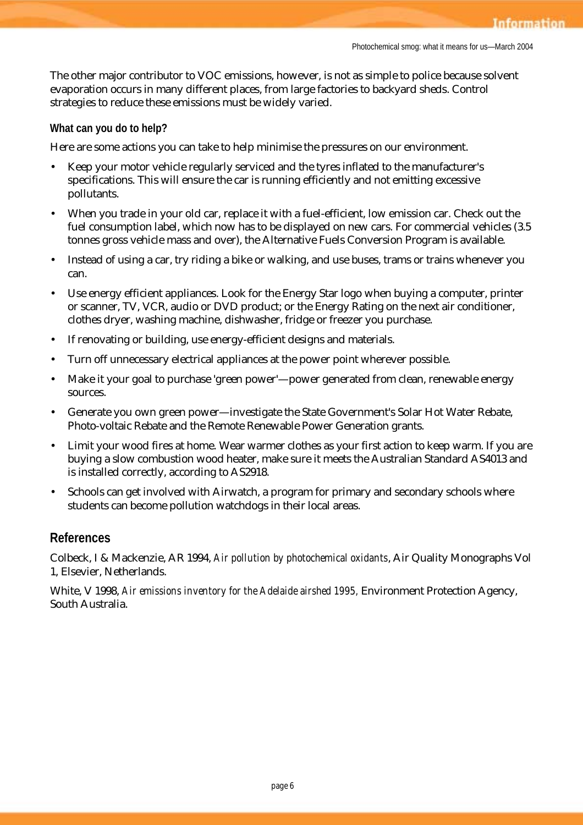The other major contributor to VOC emissions, however, is not as simple to police because solvent evaporation occurs in many different places, from large factories to backyard sheds. Control strategies to reduce these emissions must be widely varied.

#### **What can you do to help?**

Here are some actions you can take to help minimise the pressures on our environment.

- Keep your motor vehicle regularly serviced and the tyres inflated to the manufacturer's specifications. This will ensure the car is running efficiently and not emitting excessive pollutants.
- When you trade in your old car, replace it with a fuel-efficient, low emission car. Check out the fuel consumption label, which now has to be displayed on new cars. For commercial vehicles (3.5 tonnes gross vehicle mass and over), the Alternative Fuels Conversion Program is available.
- Instead of using a car, try riding a bike or walking, and use buses, trams or trains whenever you can.
- Use energy efficient appliances. Look for the Energy Star logo when buying a computer, printer or scanner, TV, VCR, audio or DVD product; or the Energy Rating on the next air conditioner, clothes dryer, washing machine, dishwasher, fridge or freezer you purchase.
- If renovating or building, use energy-efficient designs and materials.
- Turn off unnecessary electrical appliances at the power point wherever possible.
- Make it your goal to purchase 'green power'—power generated from clean, renewable energy sources.
- Generate you own green power—investigate the State Government's Solar Hot Water Rebate, Photo-voltaic Rebate and the Remote Renewable Power Generation grants.
- Limit your wood fires at home. Wear warmer clothes as your first action to keep warm. If you are buying a slow combustion wood heater, make sure it meets the Australian Standard AS4013 and is installed correctly, according to AS2918.
- Schools can get involved with Airwatch, a program for primary and secondary schools where students can become pollution watchdogs in their local areas.

#### **References**

Colbeck, I & Mackenzie, AR 1994, *Air pollution by photochemical oxidants*, Air Quality Monographs Vol 1, Elsevier, Netherlands.

White, V 1998, *Air emissions inventory for the Adelaide airshed 1995,* Environment Protection Agency, South Australia.